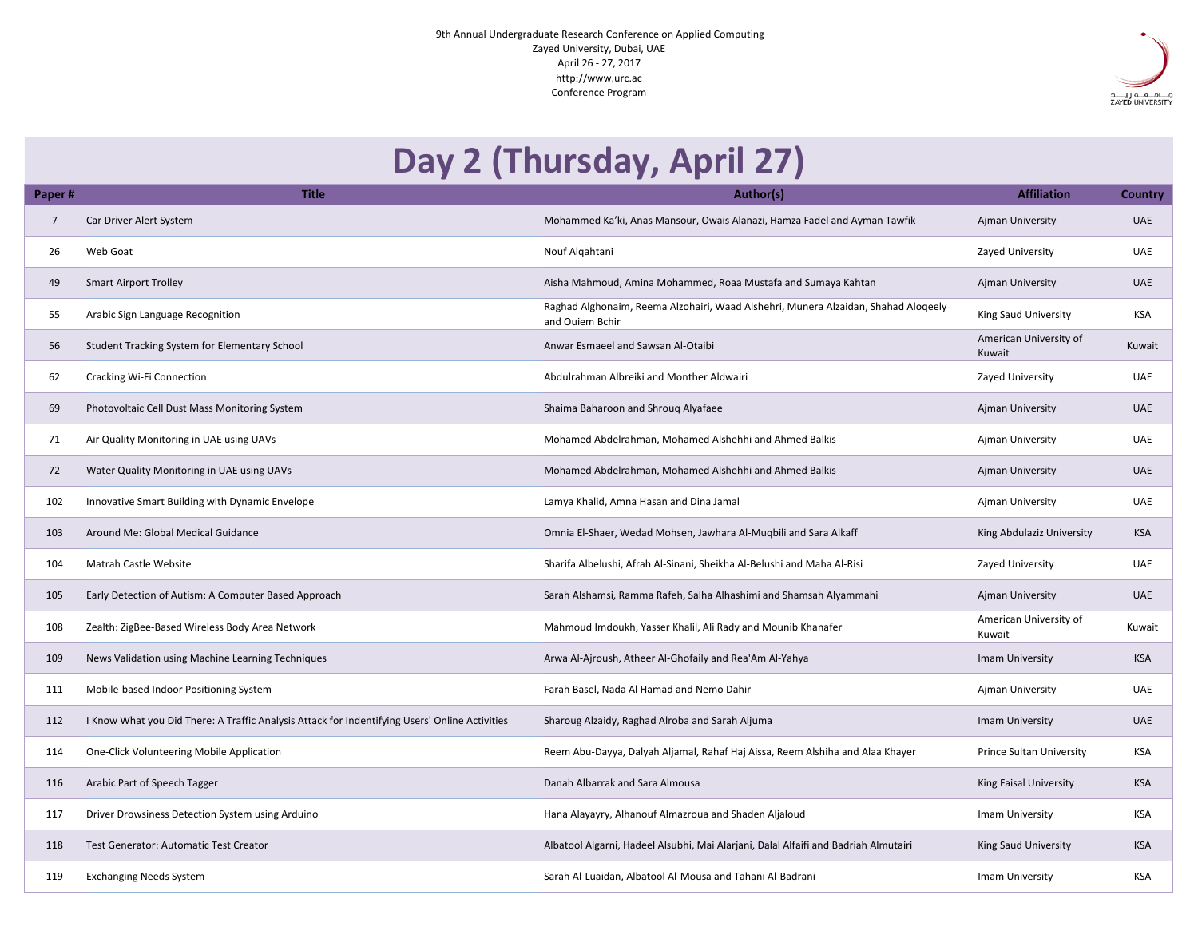9th Annual Undergraduate Research Conference on Applied Computing Zayed University, Dubai, UAE April 26 - 27, 2017 http://www.urc.ac Conference Program

| Day 2 (Thursday, April 27) |                                                                                                |                                                                                                       |                                  |                |  |  |  |  |
|----------------------------|------------------------------------------------------------------------------------------------|-------------------------------------------------------------------------------------------------------|----------------------------------|----------------|--|--|--|--|
| Paper#                     | <b>Title</b>                                                                                   | Author(s)                                                                                             | <b>Affiliation</b>               | <b>Country</b> |  |  |  |  |
|                            | Car Driver Alert System                                                                        | Mohammed Ka'ki, Anas Mansour, Owais Alanazi, Hamza Fadel and Ayman Tawfik                             | Ajman University                 | <b>UAE</b>     |  |  |  |  |
| 26                         | Web Goat                                                                                       | Nouf Algahtani                                                                                        | <b>Zayed University</b>          | UAE            |  |  |  |  |
| 49                         | <b>Smart Airport Trolley</b>                                                                   | Aisha Mahmoud, Amina Mohammed, Roaa Mustafa and Sumaya Kahtan                                         | Ajman University                 | <b>UAE</b>     |  |  |  |  |
| 55                         | Arabic Sign Language Recognition                                                               | Raghad Alghonaim, Reema Alzohairi, Waad Alshehri, Munera Alzaidan, Shahad Aloqeely<br>and Ouiem Bchir | King Saud University             | <b>KSA</b>     |  |  |  |  |
| 56                         | <b>Student Tracking System for Elementary School</b>                                           | Anwar Esmaeel and Sawsan Al-Otaibi                                                                    | American University of<br>Kuwait | Kuwait         |  |  |  |  |
| 62                         | <b>Cracking Wi-Fi Connection</b>                                                               | Abdulrahman Albreiki and Monther Aldwairi                                                             | <b>Zayed University</b>          | <b>UAE</b>     |  |  |  |  |
| 69                         | Photovoltaic Cell Dust Mass Monitoring System                                                  | Shaima Baharoon and Shrouq Alyafaee                                                                   | Ajman University                 | <b>UAE</b>     |  |  |  |  |
| 71                         | Air Quality Monitoring in UAE using UAVs                                                       | Mohamed Abdelrahman, Mohamed Alshehhi and Ahmed Balkis                                                | Ajman University                 | <b>UAE</b>     |  |  |  |  |
| 72                         | Water Quality Monitoring in UAE using UAVs                                                     | Mohamed Abdelrahman, Mohamed Alshehhi and Ahmed Balkis                                                | Ajman University                 | <b>UAE</b>     |  |  |  |  |
| 102                        | Innovative Smart Building with Dynamic Envelope                                                | Lamya Khalid, Amna Hasan and Dina Jamal                                                               | Ajman University                 | UAE            |  |  |  |  |
| 103                        | Around Me: Global Medical Guidance                                                             | Omnia El-Shaer, Wedad Mohsen, Jawhara Al-Muqbili and Sara Alkaff                                      | King Abdulaziz University        | <b>KSA</b>     |  |  |  |  |
| 104                        | <b>Matrah Castle Website</b>                                                                   | Sharifa Albelushi, Afrah Al-Sinani, Sheikha Al-Belushi and Maha Al-Risi                               | <b>Zayed University</b>          | UAE            |  |  |  |  |
| 105                        | Early Detection of Autism: A Computer Based Approach                                           | Sarah Alshamsi, Ramma Rafeh, Salha Alhashimi and Shamsah Alyammahi                                    | Ajman University                 | <b>UAE</b>     |  |  |  |  |
| 108                        | Zealth: ZigBee-Based Wireless Body Area Network                                                | Mahmoud Imdoukh, Yasser Khalil, Ali Rady and Mounib Khanafer                                          | American University of<br>Kuwait | Kuwait         |  |  |  |  |
| 109                        | News Validation using Machine Learning Techniques                                              | Arwa Al-Ajroush, Atheer Al-Ghofaily and Rea'Am Al-Yahya                                               | Imam University                  | <b>KSA</b>     |  |  |  |  |
| 111                        | Mobile-based Indoor Positioning System                                                         | Farah Basel, Nada Al Hamad and Nemo Dahir                                                             | Ajman University                 | UAE            |  |  |  |  |
| 112                        | I Know What you Did There: A Traffic Analysis Attack for Indentifying Users' Online Activities | Sharoug Alzaidy, Raghad Alroba and Sarah Aljuma                                                       | Imam University                  | <b>UAE</b>     |  |  |  |  |
| 114                        | One-Click Volunteering Mobile Application                                                      | Reem Abu-Dayya, Dalyah Aljamal, Rahaf Haj Aissa, Reem Alshiha and Alaa Khayer                         | <b>Prince Sultan University</b>  | <b>KSA</b>     |  |  |  |  |
| 116                        | Arabic Part of Speech Tagger                                                                   | Danah Albarrak and Sara Almousa                                                                       | <b>King Faisal University</b>    | <b>KSA</b>     |  |  |  |  |
| 117                        | Driver Drowsiness Detection System using Arduino                                               | Hana Alayayry, Alhanouf Almazroua and Shaden Aljaloud                                                 | Imam University                  | <b>KSA</b>     |  |  |  |  |
| 118                        | <b>Test Generator: Automatic Test Creator</b>                                                  | Albatool Algarni, Hadeel Alsubhi, Mai Alarjani, Dalal Alfaifi and Badriah Almutairi                   | King Saud University             | <b>KSA</b>     |  |  |  |  |
| 119                        | <b>Exchanging Needs System</b>                                                                 | Sarah Al-Luaidan, Albatool Al-Mousa and Tahani Al-Badrani                                             | Imam University                  | <b>KSA</b>     |  |  |  |  |



## **Day 2 (Thursday, April 27)**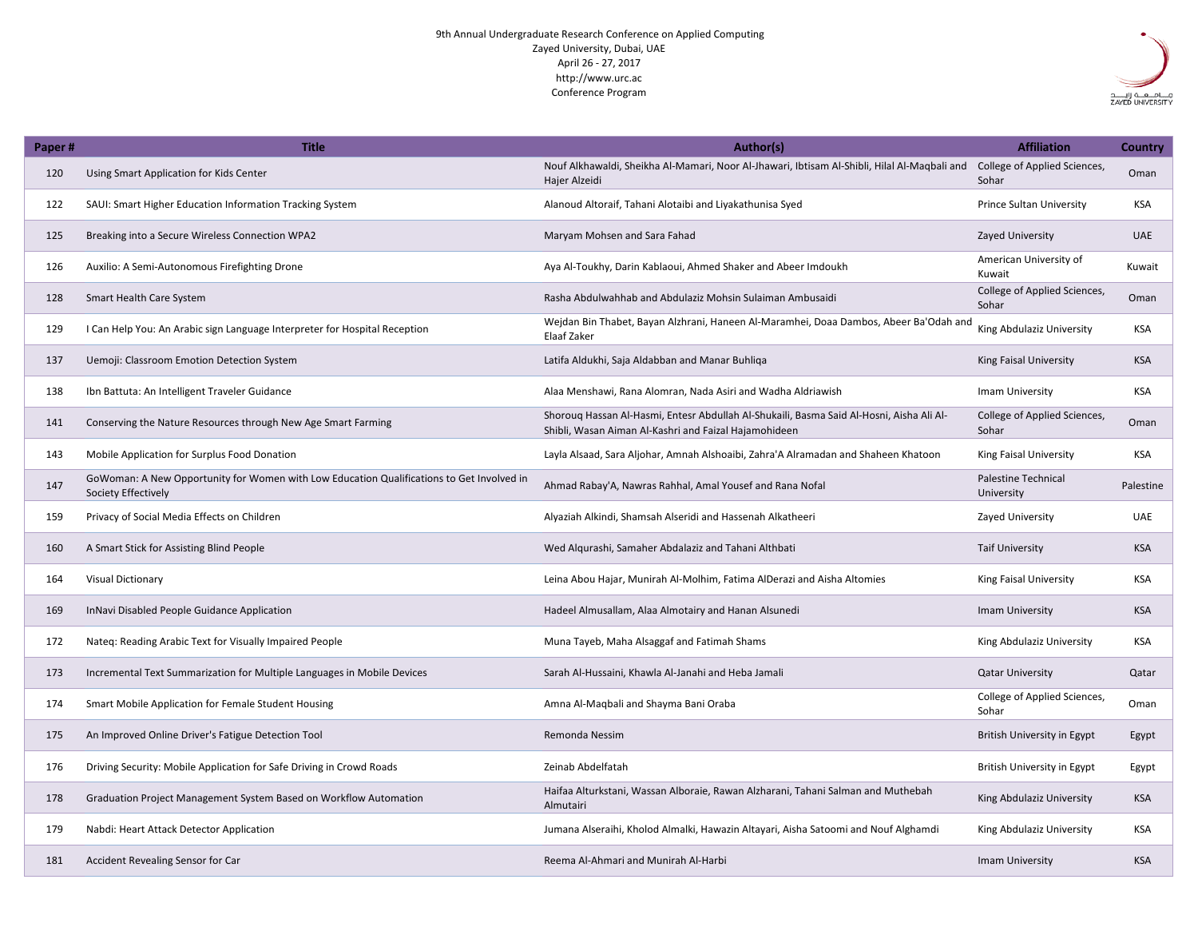9th Annual Undergraduate Research Conference on Applied Computing Zayed University, Dubai, UAE April 26 - 27, 2017 http://www.urc.ac Conference Program

| Paper# | <b>Title</b>                                                                                                     | Author(s)                                                                                                                                         | <b>Affiliation</b>                       | <b>Country</b> |
|--------|------------------------------------------------------------------------------------------------------------------|---------------------------------------------------------------------------------------------------------------------------------------------------|------------------------------------------|----------------|
| 120    | Using Smart Application for Kids Center                                                                          | Nouf Alkhawaldi, Sheikha Al-Mamari, Noor Al-Jhawari, Ibtisam Al-Shibli, Hilal Al-Maqbali and<br>Hajer Alzeidi                                     | College of Applied Sciences,<br>Sohar    | Oman           |
| 122    | SAUI: Smart Higher Education Information Tracking System                                                         | Alanoud Altoraif, Tahani Alotaibi and Liyakathunisa Syed                                                                                          | <b>Prince Sultan University</b>          | <b>KSA</b>     |
| 125    | Breaking into a Secure Wireless Connection WPA2                                                                  | Maryam Mohsen and Sara Fahad                                                                                                                      | <b>Zayed University</b>                  | <b>UAE</b>     |
| 126    | Auxilio: A Semi-Autonomous Firefighting Drone                                                                    | Aya Al-Toukhy, Darin Kablaoui, Ahmed Shaker and Abeer Imdoukh                                                                                     | American University of<br>Kuwait         | Kuwait         |
| 128    | <b>Smart Health Care System</b>                                                                                  | Rasha Abdulwahhab and Abdulaziz Mohsin Sulaiman Ambusaidi                                                                                         | College of Applied Sciences,<br>Sohar    | Oman           |
| 129    | I Can Help You: An Arabic sign Language Interpreter for Hospital Reception                                       | Wejdan Bin Thabet, Bayan Alzhrani, Haneen Al-Maramhei, Doaa Dambos, Abeer Ba'Odah and<br>Elaaf Zaker                                              | King Abdulaziz University                | <b>KSA</b>     |
| 137    | Uemoji: Classroom Emotion Detection System                                                                       | Latifa Aldukhi, Saja Aldabban and Manar Buhliqa                                                                                                   | King Faisal University                   | <b>KSA</b>     |
| 138    | Ibn Battuta: An Intelligent Traveler Guidance                                                                    | Alaa Menshawi, Rana Alomran, Nada Asiri and Wadha Aldriawish                                                                                      | Imam University                          | <b>KSA</b>     |
| 141    | Conserving the Nature Resources through New Age Smart Farming                                                    | Shorouq Hassan Al-Hasmi, Entesr Abdullah Al-Shukaili, Basma Said Al-Hosni, Aisha Ali Al-<br>Shibli, Wasan Aiman Al-Kashri and Faizal Hajamohideen | College of Applied Sciences,<br>Sohar    | Oman           |
| 143    | Mobile Application for Surplus Food Donation                                                                     | Layla Alsaad, Sara Aljohar, Amnah Alshoaibi, Zahra'A Alramadan and Shaheen Khatoon                                                                | <b>King Faisal University</b>            | <b>KSA</b>     |
| 147    | GoWoman: A New Opportunity for Women with Low Education Qualifications to Get Involved in<br>Society Effectively | Ahmad Rabay'A, Nawras Rahhal, Amal Yousef and Rana Nofal                                                                                          | <b>Palestine Technical</b><br>University | Palestine      |
| 159    | Privacy of Social Media Effects on Children                                                                      | Alyaziah Alkindi, Shamsah Alseridi and Hassenah Alkatheeri                                                                                        | Zayed University                         | <b>UAE</b>     |
| 160    | A Smart Stick for Assisting Blind People                                                                         | Wed Alqurashi, Samaher Abdalaziz and Tahani Althbati                                                                                              | Taif University                          | <b>KSA</b>     |
| 164    | <b>Visual Dictionary</b>                                                                                         | Leina Abou Hajar, Munirah Al-Molhim, Fatima AlDerazi and Aisha Altomies                                                                           | <b>King Faisal University</b>            | <b>KSA</b>     |
| 169    | InNavi Disabled People Guidance Application                                                                      | Hadeel Almusallam, Alaa Almotairy and Hanan Alsunedi                                                                                              | Imam University                          | <b>KSA</b>     |
| 172    | Nateq: Reading Arabic Text for Visually Impaired People                                                          | Muna Tayeb, Maha Alsaggaf and Fatimah Shams                                                                                                       | King Abdulaziz University                | KSA            |
| 173    | Incremental Text Summarization for Multiple Languages in Mobile Devices                                          | Sarah Al-Hussaini, Khawla Al-Janahi and Heba Jamali                                                                                               | <b>Qatar University</b>                  | Qatar          |
| 174    | <b>Smart Mobile Application for Female Student Housing</b>                                                       | Amna Al-Maqbali and Shayma Bani Oraba                                                                                                             | College of Applied Sciences,<br>Sohar    | Oman           |
| 175    | An Improved Online Driver's Fatigue Detection Tool                                                               | Remonda Nessim                                                                                                                                    | <b>British University in Egypt</b>       | Egypt          |
| 176    | Driving Security: Mobile Application for Safe Driving in Crowd Roads                                             | Zeinab Abdelfatah                                                                                                                                 | <b>British University in Egypt</b>       | Egypt          |
| 178    | Graduation Project Management System Based on Workflow Automation                                                | Haifaa Alturkstani, Wassan Alboraie, Rawan Alzharani, Tahani Salman and Muthebah<br>Almutairi                                                     | King Abdulaziz University                | <b>KSA</b>     |
| 179    | Nabdi: Heart Attack Detector Application                                                                         | Jumana Alseraihi, Kholod Almalki, Hawazin Altayari, Aisha Satoomi and Nouf Alghamdi                                                               | King Abdulaziz University                | KSA            |
| 181    | Accident Revealing Sensor for Car                                                                                | Reema Al-Ahmari and Munirah Al-Harbi                                                                                                              | Imam University                          | <b>KSA</b>     |